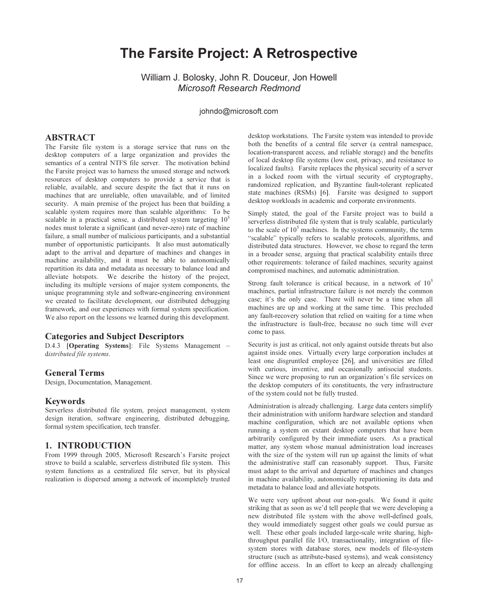# The Farsite Project: A Retrospective

William J. Bolosky, John R. Douceur, Jon Howell Microsoft Research Redmond

johndo@microsoft.com

## ABSTRACT

The Farsite file system is a storage service that runs on the desktop computers of a large organization and provides the semantics of a central NTFS file server. The motivation behind the Farsite project was to harness the unused storage and network resources of desktop computers to provide a service that is reliable, available, and secure despite the fact that it runs on machines that are unreliable, often unavailable, and of limited security. A main premise of the project has been that building a scalable system requires more than scalable algorithms: To be scalable in a practical sense, a distributed system targeting  $10<sup>5</sup>$ nodes must tolerate a significant (and never-zero) rate of machine failure, a small number of malicious participants, and a substantial number of opportunistic participants. It also must automatically adapt to the arrival and departure of machines and changes in machine availability, and it must be able to autonomically repartition its data and metadata as necessary to balance load and alleviate hotspots. We describe the history of the project, including its multiple versions of major system components, the unique programming style and software-engineering environment we created to facilitate development, our distributed debugging framework, and our experiences with formal system specification. We also report on the lessons we learned during this development.

### Categories and Subject Descriptors

D.4.3 **[Operating Systems]**: File Systems Management – distributed file systems.

## General Terms

Design, Documentation, Management.

## Keywords

Serverless distributed file system, project management, system design iteration, software engineering, distributed debugging, formal system specification, tech transfer.

#### 1. INTRODUCTION

From 1999 through 2005, Microsoft Research's Farsite project strove to build a scalable, serverless distributed file system. This system functions as a centralized file server, but its physical realization is dispersed among a network of incompletely trusted

desktop workstations. The Farsite system was intended to provide both the benefits of a central file server (a central namespace, location-transparent access, and reliable storage) and the benefits of local desktop file systems (low cost, privacy, and resistance to localized faults). Farsite replaces the physical security of a server in a locked room with the virtual security of cryptography, randomized replication, and Byzantine fault-tolerant replicated state machines (RSMs) [6]. Farsite was designed to support desktop workloads in academic and corporate environments.

Simply stated, the goal of the Farsite project was to build a serverless distributed file system that is truly scalable, particularly to the scale of  $10<sup>5</sup>$  machines. In the systems community, the term "scalable" typically refers to scalable protocols, algorithms, and distributed data structures. However, we chose to regard the term in a broader sense, arguing that practical scalability entails three other requirements: tolerance of failed machines, security against compromised machines, and automatic administration.

Strong fault tolerance is critical because, in a network of  $10<sup>5</sup>$ machines, partial infrastructure failure is not merely the common case; it's the only case. There will never be a time when all machines are up and working at the same time. This precluded any fault-recovery solution that relied on waiting for a time when the infrastructure is fault-free, because no such time will ever come to pass.

Security is just as critical, not only against outside threats but also against inside ones. Virtually every large corporation includes at least one disgruntled employee [26], and universities are filled with curious, inventive, and occasionally antisocial students. Since we were proposing to run an organization's file services on the desktop computers of its constituents, the very infrastructure of the system could not be fully trusted.

Administration is already challenging. Large data centers simplify their administration with uniform hardware selection and standard machine configuration, which are not available options when running a system on extant desktop computers that have been arbitrarily configured by their immediate users. As a practical matter, any system whose manual administration load increases with the size of the system will run up against the limits of what the administrative staff can reasonably support. Thus, Farsite must adapt to the arrival and departure of machines and changes in machine availability, autonomically repartitioning its data and metadata to balance load and alleviate hotspots.

We were very upfront about our non-goals. We found it quite striking that as soon as we'd tell people that we were developing a new distributed file system with the above well-defined goals, they would immediately suggest other goals we could pursue as well. These other goals included large-scale write sharing, highthroughput parallel file I/O, transactionality, integration of filesystem stores with database stores, new models of file-system structure (such as attribute-based systems), and weak consistency for offline access. In an effort to keep an already challenging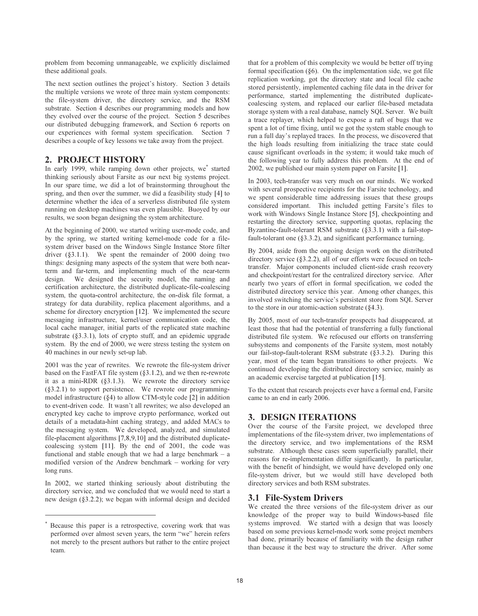problem from becoming unmanageable, we explicitly disclaimed these additional goals.

The next section outlines the project's history. Section 3 details the multiple versions we wrote of three main system components: the file-system driver, the directory service, and the RSM substrate. Section 4 describes our programming models and how they evolved over the course of the project. Section 5 describes our distributed debugging framework, and Section 6 reports on our experiences with formal system specification. Section 7 describes a couple of key lessons we take away from the project.

# 2. PROJECT HISTORY

In early 1999, while ramping down other projects, we<sup>\*</sup> started thinking seriously about Farsite as our next big systems project. In our spare time, we did a lot of brainstorming throughout the spring, and then over the summer, we did a feasibility study [4] to determine whether the idea of a serverless distributed file system running on desktop machines was even plausible. Buoyed by our results, we soon began designing the system architecture.

At the beginning of 2000, we started writing user-mode code, and by the spring, we started writing kernel-mode code for a filesystem driver based on the Windows Single Instance Store filter driver  $(\S 3.1.1)$ . We spent the remainder of 2000 doing two things: designing many aspects of the system that were both nearterm and far-term, and implementing much of the near-term design. We designed the security model, the naming and certification architecture, the distributed duplicate-file-coalescing system, the quota-control architecture, the on-disk file format, a strategy for data durability, replica placement algorithms, and a scheme for directory encryption [12]. We implemented the secure messaging infrastructure, kernel/user communication code, the local cache manager, initial parts of the replicated state machine substrate  $(\S 3.3.1)$ , lots of crypto stuff, and an epidemic upgrade system. By the end of 2000, we were stress testing the system on 40 machines in our newly set-up lab.

2001 was the year of rewrites. We rewrote the file-system driver based on the FastFAT file system (§3.1.2), and we then re-rewrote it as a mini-RDR  $(\S3.1.3)$ . We rewrote the directory service (§3.2.1) to support persistence. We rewrote our programmingmodel infrastructure (§4) to allow CTM-style code [2] in addition to event-driven code. It wasn't all rewrites; we also developed an encrypted key cache to improve crypto performance, worked out details of a metadata-hint caching strategy, and added MACs to the messaging system. We developed, analyzed, and simulated file-placement algorithms [7,8,9,10] and the distributed duplicatecoalescing system [11]. By the end of 2001, the code was functional and stable enough that we had a large benchmark – a modified version of the Andrew benchmark – working for very long runs.

In 2002, we started thinking seriously about distributing the directory service, and we concluded that we would need to start a new design (§3.2.2); we began with informal design and decided that for a problem of this complexity we would be better off trying formal specification  $(\S6)$ . On the implementation side, we got file replication working, got the directory state and local file cache stored persistently, implemented caching file data in the driver for performance, started implementing the distributed duplicatecoalescing system, and replaced our earlier file-based metadata storage system with a real database, namely SQL Server. We built a trace replayer, which helped to expose a raft of bugs that we spent a lot of time fixing, until we got the system stable enough to run a full day's replayed traces. In the process, we discovered that the high loads resulting from initializing the trace state could cause significant overloads in the system; it would take much of the following year to fully address this problem. At the end of 2002, we published our main system paper on Farsite [1].

In 2003, tech-transfer was very much on our minds. We worked with several prospective recipients for the Farsite technology, and we spent considerable time addressing issues that these groups considered important. This included getting Farsite's files to work with Windows Single Instance Store [5], checkpointing and restarting the directory service, supporting quotas, replacing the Byzantine-fault-tolerant RSM substrate (§3.3.1) with a fail-stopfault-tolerant one (§3.3.2), and significant performance turning.

By 2004, aside from the ongoing design work on the distributed directory service (§3.2.2), all of our efforts were focused on techtransfer. Major components included client-side crash recovery and checkpoint/restart for the centralized directory service. After nearly two years of effort in formal specification, we coded the distributed directory service this year. Among other changes, this involved switching the service's persistent store from SQL Server to the store in our atomic-action substrate (§4.3).

By 2005, most of our tech-transfer prospects had disappeared, at least those that had the potential of transferring a fully functional distributed file system. We refocused our efforts on transferring subsystems and components of the Farsite system, most notably our fail-stop-fault-tolerant RSM substrate (§3.3.2). During this year, most of the team began transitions to other projects. We continued developing the distributed directory service, mainly as an academic exercise targeted at publication [15].

To the extent that research projects ever have a formal end, Farsite came to an end in early 2006.

# 3. DESIGN ITERATIONS

Over the course of the Farsite project, we developed three implementations of the file-system driver, two implementations of the directory service, and two implementations of the RSM substrate. Although these cases seem superficially parallel, their reasons for re-implementation differ significantly. In particular, with the benefit of hindsight, we would have developed only one file-system driver, but we would still have developed both directory services and both RSM substrates.

#### 3.1 File-System Drivers

We created the three versions of the file-system driver as our knowledge of the proper way to build Windows-based file systems improved. We started with a design that was loosely based on some previous kernel-mode work some project members had done, primarily because of familiarity with the design rather than because it the best way to structure the driver. After some

<sup>\*</sup> Because this paper is a retrospective, covering work that was performed over almost seven years, the term "we" herein refers not merely to the present authors but rather to the entire project team.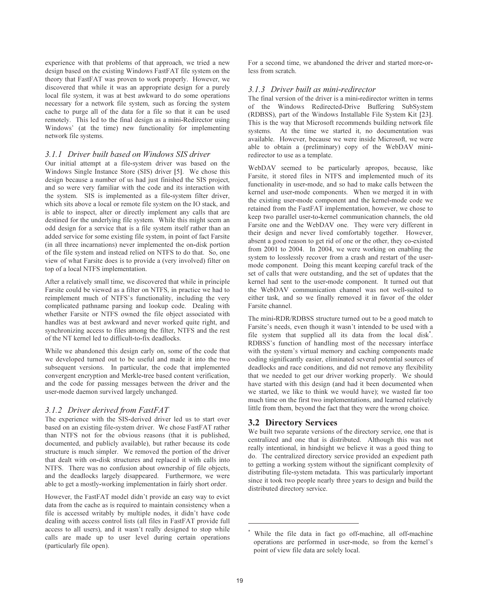experience with that problems of that approach, we tried a new design based on the existing Windows FastFAT file system on the theory that FastFAT was proven to work properly. However, we discovered that while it was an appropriate design for a purely local file system, it was at best awkward to do some operations necessary for a network file system, such as forcing the system cache to purge all of the data for a file so that it can be used remotely. This led to the final design as a mini-Redirector using Windows' (at the time) new functionality for implementing network file systems.

#### 3.1.1 Driver built based on Windows SIS driver

Our initial attempt at a file-system driver was based on the Windows Single Instance Store (SIS) driver [5]. We chose this design because a number of us had just finished the SIS project, and so were very familiar with the code and its interaction with the system. SIS is implemented as a file-system filter driver, which sits above a local or remote file system on the IO stack, and is able to inspect, alter or directly implement any calls that are destined for the underlying file system. While this might seem an odd design for a service that is a file system itself rather than an added service for some existing file system, in point of fact Farsite (in all three incarnations) never implemented the on-disk portion of the file system and instead relied on NTFS to do that. So, one view of what Farsite does is to provide a (very involved) filter on top of a local NTFS implementation.

After a relatively small time, we discovered that while in principle Farsite could be viewed as a filter on NTFS, in practice we had to reimplement much of NTFS's functionality, including the very complicated pathname parsing and lookup code. Dealing with whether Farsite or NTFS owned the file object associated with handles was at best awkward and never worked quite right, and synchronizing access to files among the filter, NTFS and the rest of the NT kernel led to difficult-to-fix deadlocks.

While we abandoned this design early on, some of the code that we developed turned out to be useful and made it into the two subsequent versions. In particular, the code that implemented convergent encryption and Merkle-tree based content verification, and the code for passing messages between the driver and the user-mode daemon survived largely unchanged.

#### 3.1.2 Driver derived from FastFAT

The experience with the SIS-derived driver led us to start over based on an existing file-system driver. We chose FastFAT rather than NTFS not for the obvious reasons (that it is published, documented, and publicly available), but rather because its code structure is much simpler. We removed the portion of the driver that dealt with on-disk structures and replaced it with calls into NTFS. There was no confusion about ownership of file objects, and the deadlocks largely disappeared. Furthermore, we were able to get a mostly-working implementation in fairly short order.

However, the FastFAT model didn't provide an easy way to evict data from the cache as is required to maintain consistency when a file is accessed writably by multiple nodes, it didn't have code dealing with access control lists (all files in FastFAT provide full access to all users), and it wasn't really designed to stop while calls are made up to user level during certain operations (particularly file open).

For a second time, we abandoned the driver and started more-orless from scratch.

#### 3.1.3 Driver built as mini-redirector

The final version of the driver is a mini-redirector written in terms of the Windows Redirected-Drive Buffering SubSystem (RDBSS), part of the Windows Installable File System Kit [23]. This is the way that Microsoft recommends building network file systems. At the time we started it, no documentation was available. However, because we were inside Microsoft, we were able to obtain a (preliminary) copy of the WebDAV miniredirector to use as a template.

WebDAV seemed to be particularly apropos, because, like Farsite, it stored files in NTFS and implemented much of its functionality in user-mode, and so had to make calls between the kernel and user-mode components. When we merged it in with the existing user-mode component and the kernel-mode code we retained from the FastFAT implementation, however, we chose to keep two parallel user-to-kernel communication channels, the old Farsite one and the WebDAV one. They were very different in their design and never lived comfortably together. However, absent a good reason to get rid of one or the other, they co-existed from 2001 to 2004. In 2004, we were working on enabling the system to losslessly recover from a crash and restart of the usermode component. Doing this meant keeping careful track of the set of calls that were outstanding, and the set of updates that the kernel had sent to the user-mode component. It turned out that the WebDAV communication channel was not well-suited to either task, and so we finally removed it in favor of the older Farsite channel.

The mini-RDR/RDBSS structure turned out to be a good match to Farsite's needs, even though it wasn't intended to be used with a file system that supplied all its data from the local disk\* . RDBSS's function of handling most of the necessary interface with the system's virtual memory and caching components made coding significantly easier, eliminated several potential sources of deadlocks and race conditions, and did not remove any flexibility that we needed to get our driver working properly. We should have started with this design (and had it been documented when we started, we like to think we would have); we wasted far too much time on the first two implementations, and learned relatively little from them, beyond the fact that they were the wrong choice.

#### 3.2 Directory Services

We built two separate versions of the directory service, one that is centralized and one that is distributed. Although this was not really intentional, in hindsight we believe it was a good thing to do. The centralized directory service provided an expedient path to getting a working system without the significant complexity of distributing file-system metadata. This was particularly important since it took two people nearly three years to design and build the distributed directory service.

<sup>\*</sup> While the file data in fact go off-machine, all off-machine operations are performed in user-mode, so from the kernel's point of view file data are solely local.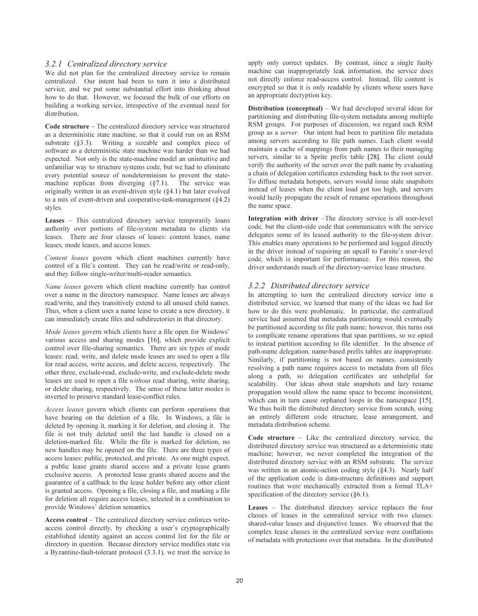#### 3.2.1 Centralized directory service

We did not plan for the centralized directory service to remain centralized. Our intent had been to turn it into a distributed service, and we put some substantial effort into thinking about how to do that. However, we focused the bulk of our efforts on building a working service, irrespective of the eventual need for distribution.

Code structure – The centralized directory service was structured as a deterministic state machine, so that it could run on an RSM substrate (§3.3). Writing a sizeable and complex piece of software as a deterministic state machine was harder than we had expected. Not only is the state-machine model an unintuitive and unfamiliar way to structure systems code, but we had to eliminate every potential source of nondeterminism to prevent the statemachine replicas from diverging (§7.1). The service was originally written in an event-driven style (§4.1) but later evolved to a mix of event-driven and cooperative-task-management (§4.2) styles.

Leases – This centralized directory service temporarily loans authority over portions of file-system metadata to clients via leases. There are four classes of leases: content leases, name leases, mode leases, and access leases.

Content leases govern which client machines currently have control of a file's content. They can be read/write or read-only, and they follow single-writer/multi-reader semantics.

Name leases govern which client machine currently has control over a name in the directory namespace. Name leases are always read/write, and they transitively extend to all unused child names. Thus, when a client uses a name lease to create a new directory, it can immediately create files and subdirectories in that directory.

Mode leases govern which clients have a file open for Windows' various access and sharing modes [16], which provide explicit control over file-sharing semantics. There are six types of mode leases: read, write, and delete mode leases are used to open a file for read access, write access, and delete access, respectively. The other three, exclude-read, exclude-write, and exclude-delete mode leases are used to open a file without read sharing, write sharing, or delete sharing, respectively. The sense of these latter modes is inverted to preserve standard lease-conflict rules.

Access leases govern which clients can perform operations that have bearing on the deletion of a file. In Windows, a file is deleted by opening it, marking it for deletion, and closing it. The file is not truly deleted until the last handle is closed on a deletion-marked file. While the file is marked for deletion, no new handles may be opened on the file. There are three types of access leases: public, protected, and private. As one might expect, a public lease grants shared access and a private lease grants exclusive access. A protected lease grants shared access and the guarantee of a callback to the lease holder before any other client is granted access. Opening a file, closing a file, and marking a file for deletion all require access leases, selected in a combination to provide Windows' deletion semantics.

Access control – The centralized directory service enforces writeaccess control directly, by checking a user's cryptographically established identity against an access control list for the file or directory in question. Because directory service modifies state via a Byzantine-fault-tolerant protocol (3.3.1), we trust the service to apply only correct updates. By contrast, since a single faulty machine can inappropriately leak information, the service does not directly enforce read-access control. Instead, file content is encrypted so that it is only readable by clients whose users have an appropriate decryption key.

Distribution (conceptual) – We had developed several ideas for partitioning and distributing file-system metadata among multiple RSM groups. For purposes of discussion, we regard each RSM group as a server. Our intent had been to partition file metadata among servers according to file path names. Each client would maintain a cache of mappings from path names to their managing servers, similar to a Sprite prefix table [28]. The client could verify the authority of the server over the path name by evaluating a chain of delegation certificates extending back to the root server. To diffuse metadata hotspots, servers would issue stale snapshots instead of leases when the client load got too high, and servers would lazily propagate the result of rename operations throughout the name space.

Integration with driver –The directory service is all user-level code, but the client-side code that communicates with the service delegates some of its leased authority to the file-system driver. This enables many operations to be performed and logged directly in the driver instead of requiring an upcall to Farsite's user-level code, which is important for performance. For this reason, the driver understands much of the directory-service lease structure.

## 3.2.2 Distributed directory service

In attempting to turn the centralized directory service into a distributed service, we learned that many of the ideas we had for how to do this were problematic. In particular, the centralized service had assumed that metadata partitioning would eventually be partitioned according to file path name; however, this turns out to complicate rename operations that span partitions, so we opted to instead partition according to file identifier. In the absence of path-name delegation, name-based prefix tables are inappropriate. Similarly, if partitioning is not based on names, consistently resolving a path name requires access to metadata from all files along a path, so delegation certificates are unhelpful for scalability. Our ideas about stale snapshots and lazy rename propagation would allow the name space to become inconsistent, which can in turn cause orphaned loops in the namespace [15]. We thus built the distributed directory service from scratch, using an entirely different code structure, lease arrangement, and metadata distribution scheme.

Code structure – Like the centralized directory service, the distributed directory service was structured as a deterministic state machine; however, we never completed the integration of the distributed directory service with an RSM substrate. The service was written in an atomic-action coding style (§4.3). Nearly half of the application code is data-structure definitions and support routines that were mechanically extracted from a formal TLA+ specification of the directory service  $(\S6.1)$ .

Leases – The distributed directory service replaces the four classes of leases in the centralized service with two classes: shared-value leases and disjunctive leases. We observed that the complex lease classes in the centralized service were conflations of metadata with protections over that metadata. In the distributed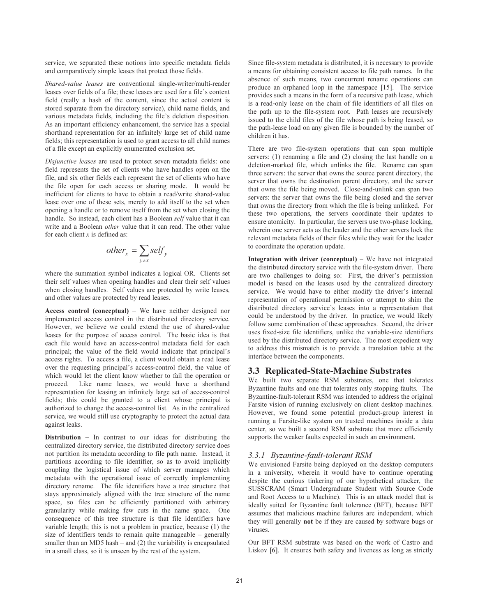service, we separated these notions into specific metadata fields and comparatively simple leases that protect those fields.

Shared-value leases are conventional single-writer/multi-reader leases over fields of a file; these leases are used for a file's content field (really a hash of the content, since the actual content is stored separate from the directory service), child name fields, and various metadata fields, including the file's deletion disposition. As an important efficiency enhancement, the service has a special shorthand representation for an infinitely large set of child name fields; this representation is used to grant access to all child names of a file except an explicitly enumerated exclusion set.

Disjunctive leases are used to protect seven metadata fields: one field represents the set of clients who have handles open on the file, and six other fields each represent the set of clients who have the file open for each access or sharing mode. It would be inefficient for clients to have to obtain a read/write shared-value lease over one of these sets, merely to add itself to the set when opening a handle or to remove itself from the set when closing the handle. So instead, each client has a Boolean self value that it can write and a Boolean *other* value that it can read. The other value for each client  $x$  is defined as:

$$
other_x = \sum_{y \neq x} self_y
$$

where the summation symbol indicates a logical OR. Clients set their self values when opening handles and clear their self values when closing handles. Self values are protected by write leases, and other values are protected by read leases.

Access control (conceptual) – We have neither designed nor implemented access control in the distributed directory service. However, we believe we could extend the use of shared-value leases for the purpose of access control. The basic idea is that each file would have an access-control metadata field for each principal; the value of the field would indicate that principal's access rights. To access a file, a client would obtain a read lease over the requesting principal's access-control field, the value of which would let the client know whether to fail the operation or proceed. Like name leases, we would have a shorthand representation for leasing an infinitely large set of access-control fields; this could be granted to a client whose principal is authorized to change the access-control list. As in the centralized service, we would still use cryptography to protect the actual data against leaks.

Distribution – In contrast to our ideas for distributing the centralized directory service, the distributed directory service does not partition its metadata according to file path name. Instead, it partitions according to file identifier, so as to avoid implicitly coupling the logistical issue of which server manages which metadata with the operational issue of correctly implementing directory rename. The file identifiers have a tree structure that stays approximately aligned with the tree structure of the name space, so files can be efficiently partitioned with arbitrary granularity while making few cuts in the name space. One consequence of this tree structure is that file identifiers have variable length; this is not a problem in practice, because (1) the size of identifiers tends to remain quite manageable – generally smaller than an MD5 hash  $-$  and  $(2)$  the variability is encapsulated in a small class, so it is unseen by the rest of the system.

Since file-system metadata is distributed, it is necessary to provide a means for obtaining consistent access to file path names. In the absence of such means, two concurrent rename operations can produce an orphaned loop in the namespace [15]. The service provides such a means in the form of a recursive path lease, which is a read-only lease on the chain of file identifiers of all files on the path up to the file-system root. Path leases are recursively issued to the child files of the file whose path is being leased, so the path-lease load on any given file is bounded by the number of children it has.

There are two file-system operations that can span multiple servers: (1) renaming a file and (2) closing the last handle on a deletion-marked file, which unlinks the file. Rename can span three servers: the server that owns the source parent directory, the server that owns the destination parent directory, and the server that owns the file being moved. Close-and-unlink can span two servers: the server that owns the file being closed and the server that owns the directory from which the file is being unlinked. For these two operations, the servers coordinate their updates to ensure atomicity. In particular, the servers use two-phase locking, wherein one server acts as the leader and the other servers lock the relevant metadata fields of their files while they wait for the leader to coordinate the operation update.

Integration with driver (conceptual) – We have not integrated the distributed directory service with the file-system driver. There are two challenges to doing so: First, the driver's permission model is based on the leases used by the centralized directory service. We would have to either modify the driver's internal representation of operational permission or attempt to shim the distributed directory service's leases into a representation that could be understood by the driver. In practice, we would likely follow some combination of these approaches. Second, the driver uses fixed-size file identifiers, unlike the variable-size identifiers used by the distributed directory service. The most expedient way to address this mismatch is to provide a translation table at the interface between the components.

#### 3.3 Replicated-State-Machine Substrates

We built two separate RSM substrates, one that tolerates Byzantine faults and one that tolerates only stopping faults. The Byzantine-fault-tolerant RSM was intended to address the original Farsite vision of running exclusively on client desktop machines. However, we found some potential product-group interest in running a Farsite-like system on trusted machines inside a data center, so we built a second RSM substrate that more efficiently supports the weaker faults expected in such an environment.

#### 3.3.1 Byzantine-fault-tolerant RSM

We envisioned Farsite being deployed on the desktop computers in a university, wherein it would have to continue operating despite the curious tinkering of our hypothetical attacker, the SUSSCRAM (Smart Undergraduate Student with Source Code and Root Access to a Machine). This is an attack model that is ideally suited for Byzantine fault tolerance (BFT), because BFT assumes that malicious machine failures are independent, which they will generally not be if they are caused by software bugs or viruses.

Our BFT RSM substrate was based on the work of Castro and Liskov [6]. It ensures both safety and liveness as long as strictly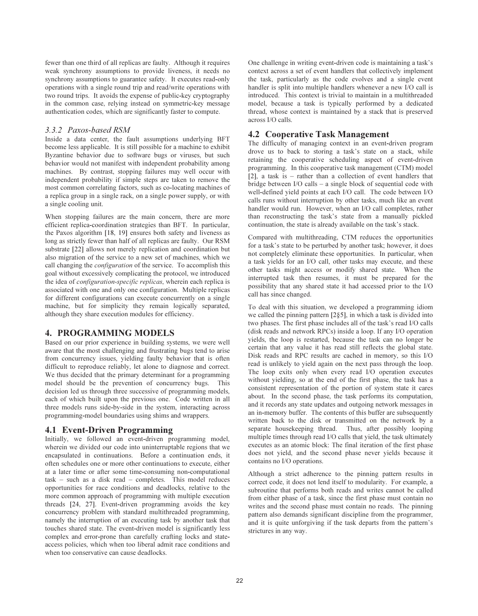fewer than one third of all replicas are faulty. Although it requires weak synchrony assumptions to provide liveness, it needs no synchrony assumptions to guarantee safety. It executes read-only operations with a single round trip and read/write operations with two round trips. It avoids the expense of public-key cryptography in the common case, relying instead on symmetric-key message authentication codes, which are significantly faster to compute.

#### 3.3.2 Paxos-based RSM

Inside a data center, the fault assumptions underlying BFT become less applicable. It is still possible for a machine to exhibit Byzantine behavior due to software bugs or viruses, but such behavior would not manifest with independent probability among machines. By contrast, stopping failures may well occur with independent probability if simple steps are taken to remove the most common correlating factors, such as co-locating machines of a replica group in a single rack, on a single power supply, or with a single cooling unit.

When stopping failures are the main concern, there are more efficient replica-coordination strategies than BFT. In particular, the Paxos algorithm [18, 19] ensures both safety and liveness as long as strictly fewer than half of all replicas are faulty. Our RSM substrate [22] allows not merely replication and coordination but also migration of the service to a new set of machines, which we call changing the configuration of the service. To accomplish this goal without excessively complicating the protocol, we introduced the idea of configuration-specific replicas, wherein each replica is associated with one and only one configuration. Multiple replicas for different configurations can execute concurrently on a single machine, but for simplicity they remain logically separated, although they share execution modules for efficiency.

## 4. PROGRAMMING MODELS

Based on our prior experience in building systems, we were well aware that the most challenging and frustrating bugs tend to arise from concurrency issues, yielding faulty behavior that is often difficult to reproduce reliably, let alone to diagnose and correct. We thus decided that the primary determinant for a programming model should be the prevention of concurrency bugs. This decision led us through three successive of programming models, each of which built upon the previous one. Code written in all three models runs side-by-side in the system, interacting across programming-model boundaries using shims and wrappers.

# 4.1 Event-Driven Programming

Initially, we followed an event-driven programming model, wherein we divided our code into uninterruptable regions that we encapsulated in continuations. Before a continuation ends, it often schedules one or more other continuations to execute, either at a later time or after some time-consuming non-computational task – such as a disk read – completes. This model reduces opportunities for race conditions and deadlocks, relative to the more common approach of programming with multiple execution threads [24, 27]. Event-driven programming avoids the key concurrency problem with standard multithreaded programming, namely the interruption of an executing task by another task that touches shared state. The event-driven model is significantly less complex and error-prone than carefully crafting locks and stateaccess policies, which when too liberal admit race conditions and when too conservative can cause deadlocks.

One challenge in writing event-driven code is maintaining a task's context across a set of event handlers that collectively implement the task, particularly as the code evolves and a single event handler is split into multiple handlers whenever a new I/O call is introduced. This context is trivial to maintain in a multithreaded model, because a task is typically performed by a dedicated thread, whose context is maintained by a stack that is preserved across I/O calls.

# 4.2 Cooperative Task Management

The difficulty of managing context in an event-driven program drove us to back to storing a task's state on a stack, while retaining the cooperative scheduling aspect of event-driven programming. In this cooperative task management (CTM) model [2], a task is – rather than a collection of event handlers that bridge between I/O calls – a single block of sequential code with well-defined yield points at each I/O call. The code between I/O calls runs without interruption by other tasks, much like an event handler would run. However, when an I/O call completes, rather than reconstructing the task's state from a manually pickled continuation, the state is already available on the task's stack.

Compared with multithreading, CTM reduces the opportunities for a task's state to be perturbed by another task; however, it does not completely eliminate these opportunities. In particular, when a task yields for an I/O call, other tasks may execute, and these other tasks might access or modify shared state. When the interrupted task then resumes, it must be prepared for the possibility that any shared state it had accessed prior to the I/O call has since changed.

To deal with this situation, we developed a programming idiom we called the pinning pattern [2§5], in which a task is divided into two phases. The first phase includes all of the task's read I/O calls (disk reads and network RPCs) inside a loop. If any I/O operation yields, the loop is restarted, because the task can no longer be certain that any value it has read still reflects the global state. Disk reads and RPC results are cached in memory, so this I/O read is unlikely to yield again on the next pass through the loop. The loop exits only when every read I/O operation executes without yielding, so at the end of the first phase, the task has a consistent representation of the portion of system state it cares about. In the second phase, the task performs its computation, and it records any state updates and outgoing network messages in an in-memory buffer. The contents of this buffer are subsequently written back to the disk or transmitted on the network by a separate housekeeping thread. Thus, after possibly looping multiple times through read I/O calls that yield, the task ultimately executes as an atomic block: The final iteration of the first phase does not yield, and the second phase never yields because it contains no I/O operations.

Although a strict adherence to the pinning pattern results in correct code, it does not lend itself to modularity. For example, a subroutine that performs both reads and writes cannot be called from either phase of a task, since the first phase must contain no writes and the second phase must contain no reads. The pinning pattern also demands significant discipline from the programmer, and it is quite unforgiving if the task departs from the pattern's strictures in any way.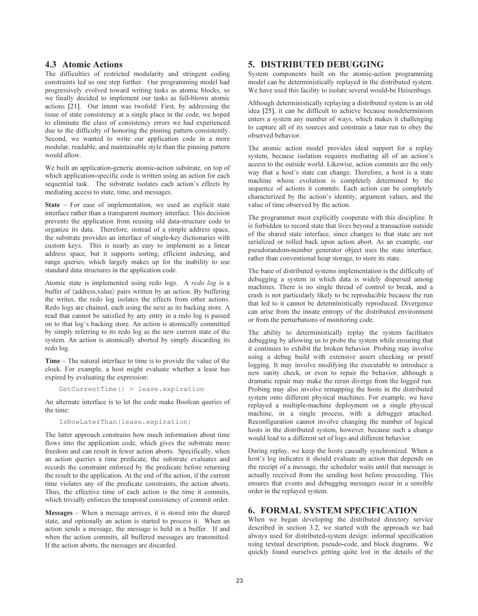## 4.3 Atomic Actions

The difficulties of restricted modularity and stringent coding constraints led us one step further. Our programming model had progressively evolved toward writing tasks as atomic blocks, so we finally decided to implement our tasks as full-blown atomic actions [21]. Our intent was twofold: First, by addressing the issue of state consistency at a single place in the code, we hoped to eliminate the class of consistency errors we had experienced due to the difficulty of honoring the pinning pattern consistently. Second, we wanted to write our application code in a more modular, readable, and maintainable style than the pinning pattern would allow.

We built an application-generic atomic-action substrate, on top of which application-specific code is written using an action for each sequential task. The substrate isolates each action's effects by mediating access to state, time, and messages.

State – For ease of implementation, we used an explicit state interface rather than a transparent memory interface. This decision prevents the application from reusing old data-structure code to organize its data. Therefore, instead of a simple address space, the substrate provides an interface of single-key dictionaries with custom keys. This is nearly as easy to implement as a linear address space, but it supports sorting, efficient indexing, and range queries, which largely makes up for the inability to use standard data structures in the application code.

Atomic state is implemented using redo logs. A redo log is a buffer of 〈address,value〉 pairs written by an action. By buffering the writes, the redo log isolates the effects from other actions. Redo logs are chained, each using the next as its backing store. A read that cannot be satisfied by any entry in a redo log is passed on to that log's backing store. An action is atomically committed by simply referring to its redo log as the new current state of the system. An action is atomically aborted by simply discarding its redo log.

Time – The natural interface to time is to provide the value of the clock. For example, a host might evaluate whether a lease has expired by evaluating the expression:

GetCurrentTime() > lease.expiration

An alternate interface is to let the code make Boolean queries of the time:

IsNowLaterThan(lease.expiration)

The latter approach constrains how much information about time flows into the application code, which gives the substrate more freedom and can result in fewer action aborts. Specifically, when an action queries a time predicate, the substrate evaluates and records the constraint enforced by the predicate before returning the result to the application. At the end of the action, if the current time violates any of the predicate constraints, the action aborts. Thus, the effective time of each action is the time it commits, which trivially enforces the temporal consistency of commit order.

Messages – When a message arrives, it is stored into the shared state, and optionally an action is started to process it. When an action sends a message, the message is held in a buffer. If and when the action commits, all buffered messages are transmitted. If the action aborts, the messages are discarded.

## 5. DISTRIBUTED DEBUGGING

System components built on the atomic-action programming model can be deterministically replayed in the distributed system. We have used this facility to isolate several would-be Heisenbugs.

Although deterministically replaying a distributed system is an old idea [25], it can be difficult to achieve because nondeterminism enters a system any number of ways, which makes it challenging to capture all of its sources and constrain a later run to obey the observed behavior.

The atomic action model provides ideal support for a replay system, because isolation requires mediating all of an action's access to the outside world. Likewise, action commits are the only way that a host's state can change. Therefore, a host is a state machine whose evolution is completely determined by the sequence of actions it commits. Each action can be completely characterized by the action's identity, argument values, and the value of time observed by the action.

The programmer must explicitly cooperate with this discipline. It is forbidden to record state that lives beyond a transaction outside of the shared state interface, since changes to that state are not serialized or rolled back upon action abort. As an example, our pseudorandom-number generator object uses the state interface, rather than conventional heap storage, to store its state.

The bane of distributed systems implementation is the difficulty of debugging a system in which data is widely dispersed among machines. There is no single thread of control to break, and a crash is not particularly likely to be reproducible because the run that led to it cannot be deterministically reproduced. Divergence can arise from the innate entropy of the distributed environment or from the perturbations of monitoring code.

The ability to deterministically replay the system facilitates debugging by allowing us to probe the system while ensuring that it continues to exhibit the broken behavior. Probing may involve using a debug build with extensive assert checking or printf logging. It may involve modifying the executable to introduce a new sanity check, or even to repair the behavior, although a dramatic repair may make the rerun diverge from the logged run. Probing may also involve remapping the hosts in the distributed system onto different physical machines. For example, we have replayed a multiple-machine deployment on a single physical machine, in a single process, with a debugger attached. Reconfiguration cannot involve changing the number of logical hosts in the distributed system, however, because such a change would lead to a different set of logs and different behavior.

During replay, we keep the hosts causally synchronized. When a host's log indicates it should evaluate an action that depends on the receipt of a message, the scheduler waits until that message is actually received from the sending host before proceeding. This ensures that events and debugging messages occur in a sensible order in the replayed system.

# 6. FORMAL SYSTEM SPECIFICATION

When we began developing the distributed directory service described in section 3.2, we started with the approach we had always used for distributed-system design: informal specification using textual description, pseudo-code, and block diagrams. We quickly found ourselves getting quite lost in the details of the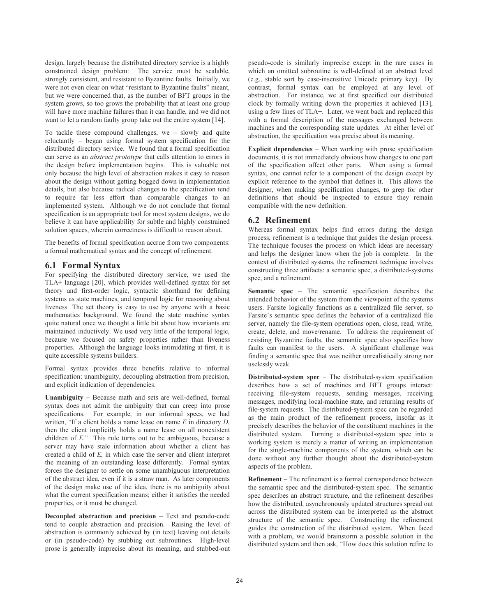design, largely because the distributed directory service is a highly constrained design problem: The service must be scalable, strongly consistent, and resistant to Byzantine faults. Initially, we were not even clear on what "resistant to Byzantine faults" meant, but we were concerned that, as the number of BFT groups in the system grows, so too grows the probability that at least one group will have more machine failures than it can handle, and we did not want to let a random faulty group take out the entire system [14].

To tackle these compound challenges, we – slowly and quite reluctantly – began using formal system specification for the distributed directory service. We found that a formal specification can serve as an abstract prototype that calls attention to errors in the design before implementation begins. This is valuable not only because the high level of abstraction makes it easy to reason about the design without getting bogged down in implementation details, but also because radical changes to the specification tend to require far less effort than comparable changes to an implemented system. Although we do not conclude that formal specification is an appropriate tool for most system designs, we do believe it can have applicability for subtle and highly constrained solution spaces, wherein correctness is difficult to reason about.

The benefits of formal specification accrue from two components: a formal mathematical syntax and the concept of refinement.

## 6.1 Formal Syntax

For specifying the distributed directory service, we used the TLA+ language [20], which provides well-defined syntax for set theory and first-order logic, syntactic shorthand for defining systems as state machines, and temporal logic for reasoning about liveness. The set theory is easy to use by anyone with a basic mathematics background. We found the state machine syntax quite natural once we thought a little bit about how invariants are maintained inductively. We used very little of the temporal logic, because we focused on safety properties rather than liveness properties. Although the language looks intimidating at first, it is quite accessible systems builders.

Formal syntax provides three benefits relative to informal specification: unambiguity, decoupling abstraction from precision, and explicit indication of dependencies.

Unambiguity – Because math and sets are well-defined, formal syntax does not admit the ambiguity that can creep into prose specifications. For example, in our informal specs, we had written, "If a client holds a name lease on name E in directory D, then the client implicitly holds a name lease on all nonexistent children of E." This rule turns out to be ambiguous, because a server may have stale information about whether a client has created a child of E, in which case the server and client interpret the meaning of an outstanding lease differently. Formal syntax forces the designer to settle on some unambiguous interpretation of the abstract idea, even if it is a straw man. As later components of the design make use of the idea, there is no ambiguity about what the current specification means; either it satisfies the needed properties, or it must be changed.

Decoupled abstraction and precision – Text and pseudo-code tend to couple abstraction and precision. Raising the level of abstraction is commonly achieved by (in text) leaving out details or (in pseudo-code) by stubbing out subroutines. High-level prose is generally imprecise about its meaning, and stubbed-out pseudo-code is similarly imprecise except in the rare cases in which an omitted subroutine is well-defined at an abstract level (e.g., stable sort by case-insensitive Unicode primary key). By contrast, formal syntax can be employed at any level of abstraction. For instance, we at first specified our distributed clock by formally writing down the properties it achieved [13], using a few lines of TLA+. Later, we went back and replaced this with a formal description of the messages exchanged between machines and the corresponding state updates. At either level of abstraction, the specification was precise about its meaning.

Explicit dependencies – When working with prose specification documents, it is not immediately obvious how changes to one part of the specification affect other parts. When using a formal syntax, one cannot refer to a component of the design except by explicit reference to the symbol that defines it. This allows the designer, when making specification changes, to grep for other definitions that should be inspected to ensure they remain compatible with the new definition.

## 6.2 Refinement

Whereas formal syntax helps find errors during the design process, refinement is a technique that guides the design process. The technique focuses the process on which ideas are necessary and helps the designer know when the job is complete. In the context of distributed systems, the refinement technique involves constructing three artifacts: a semantic spec, a distributed-systems spec, and a refinement.

Semantic spec – The semantic specification describes the intended behavior of the system from the viewpoint of the systems users. Farsite logically functions as a centralized file server, so Farsite's semantic spec defines the behavior of a centralized file server, namely the file-system operations open, close, read, write, create, delete, and move/rename. To address the requirement of resisting Byzantine faults, the semantic spec also specifies how faults can manifest to the users. A significant challenge was finding a semantic spec that was neither unrealistically strong nor uselessly weak.

Distributed-system spec – The distributed-system specification describes how a set of machines and BFT groups interact: receiving file-system requests, sending messages, receiving messages, modifying local-machine state, and returning results of file-system requests. The distributed-system spec can be regarded as the main product of the refinement process, insofar as it precisely describes the behavior of the constituent machines in the distributed system. Turning a distributed-system spec into a working system is merely a matter of writing an implementation for the single-machine components of the system, which can be done without any further thought about the distributed-system aspects of the problem.

Refinement – The refinement is a formal correspondence between the semantic spec and the distributed-system spec. The semantic spec describes an abstract structure, and the refinement describes how the distributed, asynchronously updated structures spread out across the distributed system can be interpreted as the abstract structure of the semantic spec. Constructing the refinement guides the construction of the distributed system. When faced with a problem, we would brainstorm a possible solution in the distributed system and then ask, "How does this solution refine to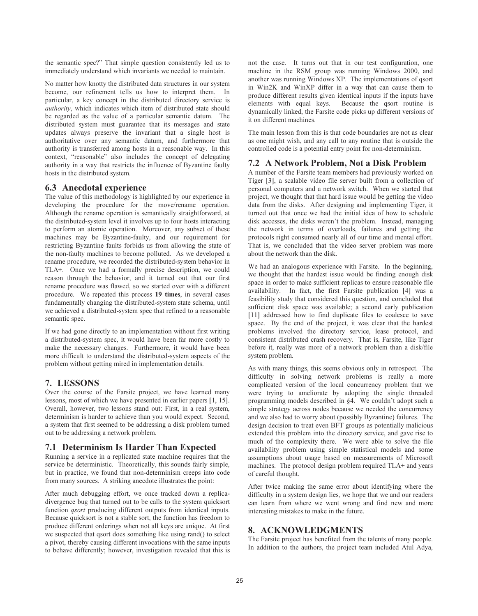the semantic spec?" That simple question consistently led us to immediately understand which invariants we needed to maintain.

No matter how knotty the distributed data structures in our system become, our refinement tells us how to interpret them. In particular, a key concept in the distributed directory service is authority, which indicates which item of distributed state should be regarded as the value of a particular semantic datum. The distributed system must guarantee that its messages and state updates always preserve the invariant that a single host is authoritative over any semantic datum, and furthermore that authority is transferred among hosts in a reasonable way. In this context, "reasonable" also includes the concept of delegating authority in a way that restricts the influence of Byzantine faulty hosts in the distributed system.

#### 6.3 Anecdotal experience

The value of this methodology is highlighted by our experience in developing the procedure for the move/rename operation. Although the rename operation is semantically straightforward, at the distributed-system level it involves up to four hosts interacting to perform an atomic operation. Moreover, any subset of these machines may be Byzantine-faulty, and our requirement for restricting Byzantine faults forbids us from allowing the state of the non-faulty machines to become polluted. As we developed a rename procedure, we recorded the distributed-system behavior in TLA+. Once we had a formally precise description, we could reason through the behavior, and it turned out that our first rename procedure was flawed, so we started over with a different procedure. We repeated this process 19 times, in several cases fundamentally changing the distributed-system state schema, until we achieved a distributed-system spec that refined to a reasonable semantic spec.

If we had gone directly to an implementation without first writing a distributed-system spec, it would have been far more costly to make the necessary changes. Furthermore, it would have been more difficult to understand the distributed-system aspects of the problem without getting mired in implementation details.

## 7. LESSONS

Over the course of the Farsite project, we have learned many lessons, most of which we have presented in earlier papers [1, 15]. Overall, however, two lessons stand out: First, in a real system, determinism is harder to achieve than you would expect. Second, a system that first seemed to be addressing a disk problem turned out to be addressing a network problem.

#### 7.1 Determinism Is Harder Than Expected

Running a service in a replicated state machine requires that the service be deterministic. Theoretically, this sounds fairly simple, but in practice, we found that non-determinism creeps into code from many sources. A striking anecdote illustrates the point:

After much debugging effort, we once tracked down a replicadivergence bug that turned out to be calls to the system quicksort function *qsort* producing different outputs from identical inputs. Because quicksort is not a stable sort, the function has freedom to produce different orderings when not all keys are unique. At first we suspected that qsort does something like using rand() to select a pivot, thereby causing different invocations with the same inputs to behave differently; however, investigation revealed that this is not the case. It turns out that in our test configuration, one machine in the RSM group was running Windows 2000, and another was running Windows XP. The implementations of qsort in Win2K and WinXP differ in a way that can cause them to produce different results given identical inputs if the inputs have elements with equal keys. Because the qsort routine is Because the qsort routine is dynamically linked, the Farsite code picks up different versions of it on different machines.

The main lesson from this is that code boundaries are not as clear as one might wish, and any call to any routine that is outside the controlled code is a potential entry point for non-determinism.

#### 7.2 A Network Problem, Not a Disk Problem

A number of the Farsite team members had previously worked on Tiger [3], a scalable video file server built from a collection of personal computers and a network switch. When we started that project, we thought that that hard issue would be getting the video data from the disks. After designing and implementing Tiger, it turned out that once we had the initial idea of how to schedule disk accesses, the disks weren't the problem. Instead, managing the network in terms of overloads, failures and getting the protocols right consumed nearly all of our time and mental effort. That is, we concluded that the video server problem was more about the network than the disk.

We had an analogous experience with Farsite. In the beginning, we thought that the hardest issue would be finding enough disk space in order to make sufficient replicas to ensure reasonable file availability. In fact, the first Farsite publication [4] was a feasibility study that considered this question, and concluded that sufficient disk space was available; a second early publication [11] addressed how to find duplicate files to coalesce to save space. By the end of the project, it was clear that the hardest problems involved the directory service, lease protocol, and consistent distributed crash recovery. That is, Farsite, like Tiger before it, really was more of a network problem than a disk/file system problem.

As with many things, this seems obvious only in retrospect. The difficulty in solving network problems is really a more complicated version of the local concurrency problem that we were trying to ameliorate by adopting the single threaded programming models described in §4. We couldn't adopt such a simple strategy across nodes because we needed the concurrency and we also had to worry about (possibly Byzantine) failures. The design decision to treat even BFT groups as potentially malicious extended this problem into the directory service, and gave rise to much of the complexity there. We were able to solve the file availability problem using simple statistical models and some assumptions about usage based on measurements of Microsoft machines. The protocol design problem required TLA+ and years of careful thought.

After twice making the same error about identifying where the difficulty in a system design lies, we hope that we and our readers can learn from where we went wrong and find new and more interesting mistakes to make in the future.

#### 8. ACKNOWLEDGMENTS

The Farsite project has benefited from the talents of many people. In addition to the authors, the project team included Atul Adya,